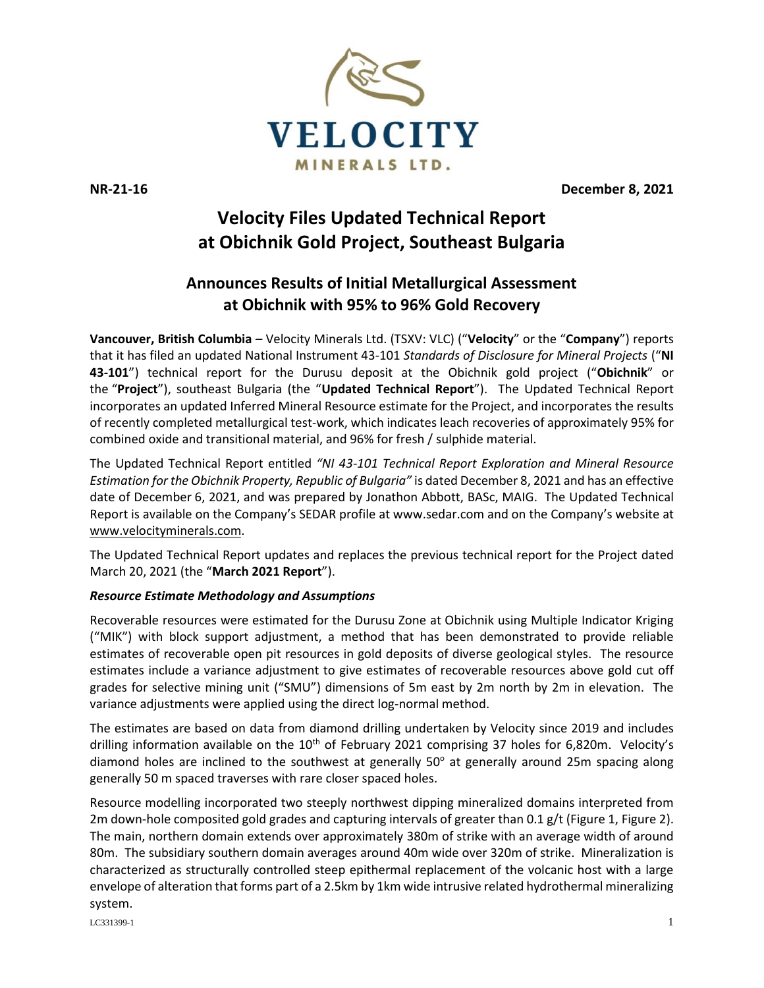

**NR-21-16 December 8, 2021**

# **Velocity Files Updated Technical Report at Obichnik Gold Project, Southeast Bulgaria**

# **Announces Results of Initial Metallurgical Assessment at Obichnik with 95% to 96% Gold Recovery**

**Vancouver, British Columbia** – Velocity Minerals Ltd. (TSXV: VLC) ("**Velocity**" or the "**Company**") reports that it has filed an updated National Instrument 43-101 *Standards of Disclosure for Mineral Projects* ("**NI 43-101**") technical report for the Durusu deposit at the Obichnik gold project ("**Obichnik**" or the "**Project**"), southeast Bulgaria (the "**Updated Technical Report**"). The Updated Technical Report incorporates an updated Inferred Mineral Resource estimate for the Project, and incorporates the results of recently completed metallurgical test-work, which indicates leach recoveries of approximately 95% for combined oxide and transitional material, and 96% for fresh / sulphide material.

The Updated Technical Report entitled *"NI 43-101 Technical Report Exploration and Mineral Resource Estimation for the Obichnik Property, Republic of Bulgaria"* is dated December 8, 2021 and has an effective date of December 6, 2021, and was prepared by Jonathon Abbott, BASc, MAIG. The Updated Technical Report is available on the Company's SEDAR profile at www.sedar.com and on the Company's website at [www.velocityminerals.com.](http://www.velocityminerals.com/)

The Updated Technical Report updates and replaces the previous technical report for the Project dated March 20, 2021 (the "**March 2021 Report**").

# *Resource Estimate Methodology and Assumptions*

Recoverable resources were estimated for the Durusu Zone at Obichnik using Multiple Indicator Kriging ("MIK") with block support adjustment, a method that has been demonstrated to provide reliable estimates of recoverable open pit resources in gold deposits of diverse geological styles. The resource estimates include a variance adjustment to give estimates of recoverable resources above gold cut off grades for selective mining unit ("SMU") dimensions of 5m east by 2m north by 2m in elevation. The variance adjustments were applied using the direct log-normal method.

The estimates are based on data from diamond drilling undertaken by Velocity since 2019 and includes drilling information available on the 10<sup>th</sup> of February 2021 comprising 37 holes for 6,820m. Velocity's diamond holes are inclined to the southwest at generally  $50^\circ$  at generally around 25m spacing along generally 50 m spaced traverses with rare closer spaced holes.

Resource modelling incorporated two steeply northwest dipping mineralized domains interpreted from 2m down-hole composited gold grades and capturing intervals of greater than 0.1 g/t (Figure 1, Figure 2). The main, northern domain extends over approximately 380m of strike with an average width of around 80m. The subsidiary southern domain averages around 40m wide over 320m of strike. Mineralization is characterized as structurally controlled steep epithermal replacement of the volcanic host with a large envelope of alteration that forms part of a 2.5km by 1km wide intrusive related hydrothermal mineralizing system.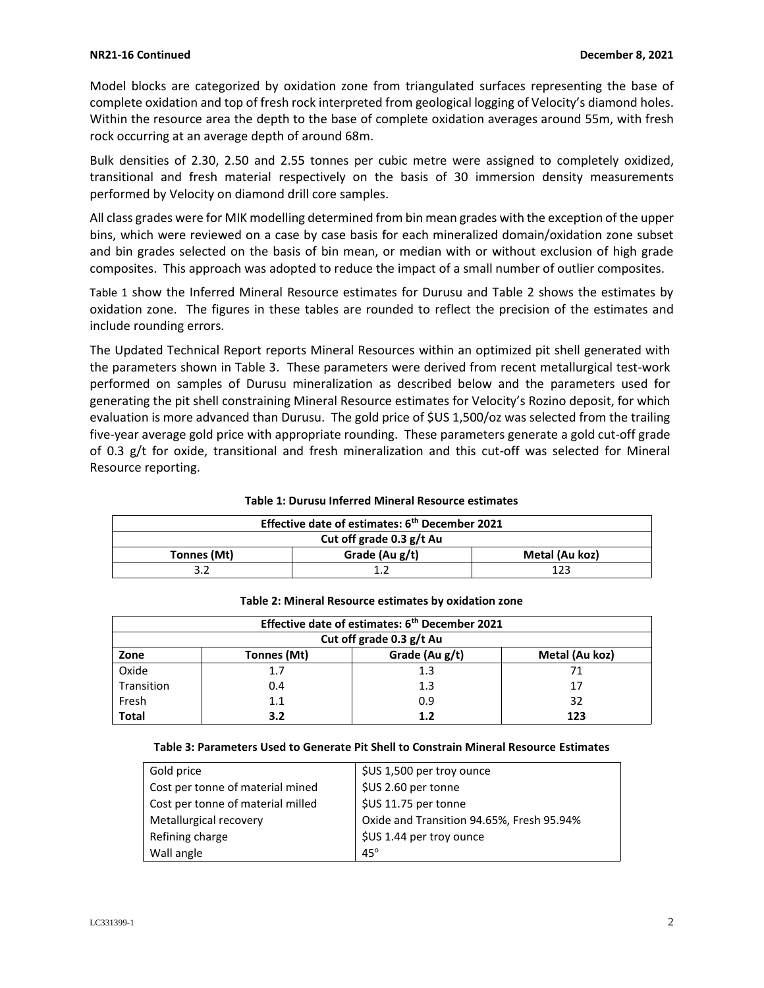Model blocks are categorized by oxidation zone from triangulated surfaces representing the base of complete oxidation and top of fresh rock interpreted from geological logging of Velocity's diamond holes. Within the resource area the depth to the base of complete oxidation averages around 55m, with fresh rock occurring at an average depth of around 68m.

Bulk densities of 2.30, 2.50 and 2.55 tonnes per cubic metre were assigned to completely oxidized, transitional and fresh material respectively on the basis of 30 immersion density measurements performed by Velocity on diamond drill core samples.

All class grades were for MIK modelling determined from bin mean grades with the exception of the upper bins, which were reviewed on a case by case basis for each mineralized domain/oxidation zone subset and bin grades selected on the basis of bin mean, or median with or without exclusion of high grade composites. This approach was adopted to reduce the impact of a small number of outlier composites.

[Table 1](#page-1-0) show the Inferred Mineral Resource estimates for Durusu and Table 2 shows the estimates by oxidation zone. The figures in these tables are rounded to reflect the precision of the estimates and include rounding errors.

The Updated Technical Report reports Mineral Resources within an optimized pit shell generated with the parameters shown in [Table 3.](#page-1-1) These parameters were derived from recent metallurgical test-work performed on samples of Durusu mineralization as described below and the parameters used for generating the pit shell constraining Mineral Resource estimates for Velocity's Rozino deposit, for which evaluation is more advanced than Durusu. The gold price of \$US 1,500/oz was selected from the trailing five-year average gold price with appropriate rounding. These parameters generate a gold cut-off grade of 0.3 g/t for oxide, transitional and fresh mineralization and this cut-off was selected for Mineral Resource reporting.

| Effective date of estimates: 6 <sup>th</sup> December 2021 |                |                |  |  |  |
|------------------------------------------------------------|----------------|----------------|--|--|--|
| Cut off grade 0.3 g/t Au                                   |                |                |  |  |  |
| Tonnes (Mt)                                                | Grade (Au g/t) | Metal (Au koz) |  |  |  |
| ວ າ                                                        |                | 1 ว ว          |  |  |  |

#### <span id="page-1-0"></span>**Table 1: Durusu Inferred Mineral Resource estimates**

| Effective date of estimates: 6 <sup>th</sup> December 2021 |             |                |                |  |  |  |  |
|------------------------------------------------------------|-------------|----------------|----------------|--|--|--|--|
| Cut off grade 0.3 g/t Au                                   |             |                |                |  |  |  |  |
| Zone                                                       | Tonnes (Mt) | Grade (Au g/t) | Metal (Au koz) |  |  |  |  |
| Oxide                                                      | 1.7         | 1.3            | 71             |  |  |  |  |
| Transition                                                 | 0.4         | 1.3            | 17             |  |  |  |  |
| Fresh                                                      | 1.1         | 0.9            | 32             |  |  |  |  |
| <b>Total</b>                                               | 3.2         | 1.2            | 123            |  |  |  |  |

#### **Table 2: Mineral Resource estimates by oxidation zone**

#### <span id="page-1-1"></span>**Table 3: Parameters Used to Generate Pit Shell to Constrain Mineral Resource Estimates**

| Gold price                        | \$US 1,500 per troy ounce                 |
|-----------------------------------|-------------------------------------------|
| Cost per tonne of material mined  | \$US 2.60 per tonne                       |
| Cost per tonne of material milled | \$US 11.75 per tonne                      |
| Metallurgical recovery            | Oxide and Transition 94.65%, Fresh 95.94% |
| Refining charge                   | \$US 1.44 per troy ounce                  |
| Wall angle                        | $45^\circ$                                |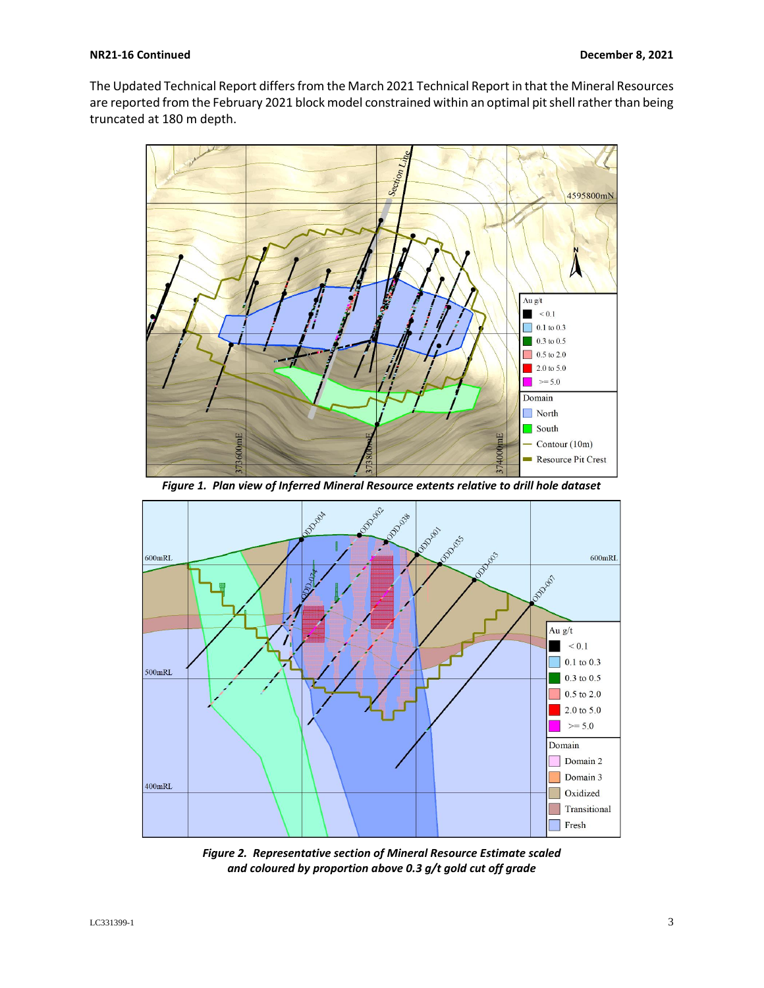The Updated Technical Report differs from the March 2021 Technical Report in that the Mineral Resources are reported from the February 2021 block model constrained within an optimal pit shell rather than being truncated at 180 m depth.



*Figure 1. Plan view of Inferred Mineral Resource extents relative to drill hole dataset*



*Figure 2. Representative section of Mineral Resource Estimate scaled and coloured by proportion above 0.3 g/t gold cut off grade*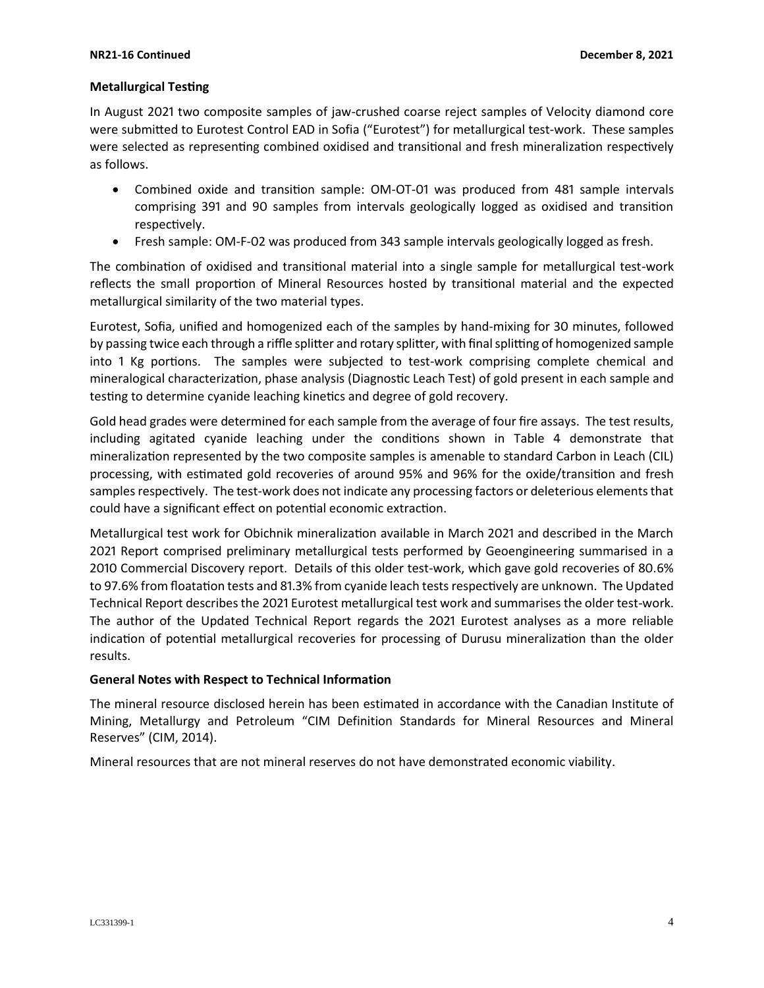## **Metallurgical Testing**

In August 2021 two composite samples of jaw-crushed coarse reject samples of Velocity diamond core were submitted to Eurotest Control EAD in Sofia ("Eurotest") for metallurgical test-work. These samples were selected as representing combined oxidised and transitional and fresh mineralization respectively as follows.

- Combined oxide and transition sample: ОМ-ОТ-01 was produced from 481 sample intervals comprising 391 and 90 samples from intervals geologically logged as oxidised and transition respectively.
- Fresh sample: OM-F-02 was produced from 343 sample intervals geologically logged as fresh.

The combination of oxidised and transitional material into a single sample for metallurgical test-work reflects the small proportion of Mineral Resources hosted by transitional material and the expected metallurgical similarity of the two material types.

Eurotest, Sofia, unified and homogenized each of the samples by hand-mixing for 30 minutes, followed by passing twice each through a riffle splitter and rotary splitter, with final splitting of homogenized sample into 1 Kg portions. The samples were subjected to test-work comprising complete chemical and mineralogical characterization, phase analysis (Diagnostic Leach Test) of gold present in each sample and testing to determine cyanide leaching kinetics and degree of gold recovery.

Gold head grades were determined for each sample from the average of four fire assays. The test results, including agitated cyanide leaching under the conditions shown in Table 4 demonstrate that mineralization represented by the two composite samples is amenable to standard Carbon in Leach (CIL) processing, with estimated gold recoveries of around 95% and 96% for the oxide/transition and fresh samples respectively. The test-work does not indicate any processing factors or deleterious elements that could have a significant effect on potential economic extraction.

Metallurgical test work for Obichnik mineralization available in March 2021 and described in the March 2021 Report comprised preliminary metallurgical tests performed by Geoengineering summarised in a 2010 Commercial Discovery report. Details of this older test-work, which gave gold recoveries of 80.6% to 97.6% from floatation tests and 81.3% from cyanide leach tests respectively are unknown. The Updated Technical Report describes the 2021 Eurotest metallurgical test work and summarises the older test-work. The author of the Updated Technical Report regards the 2021 Eurotest analyses as a more reliable indication of potential metallurgical recoveries for processing of Durusu mineralization than the older results.

## **General Notes with Respect to Technical Information**

The mineral resource disclosed herein has been estimated in accordance with the Canadian Institute of Mining, Metallurgy and Petroleum "CIM Definition Standards for Mineral Resources and Mineral Reserves" (CIM, 2014).

Mineral resources that are not mineral reserves do not have demonstrated economic viability.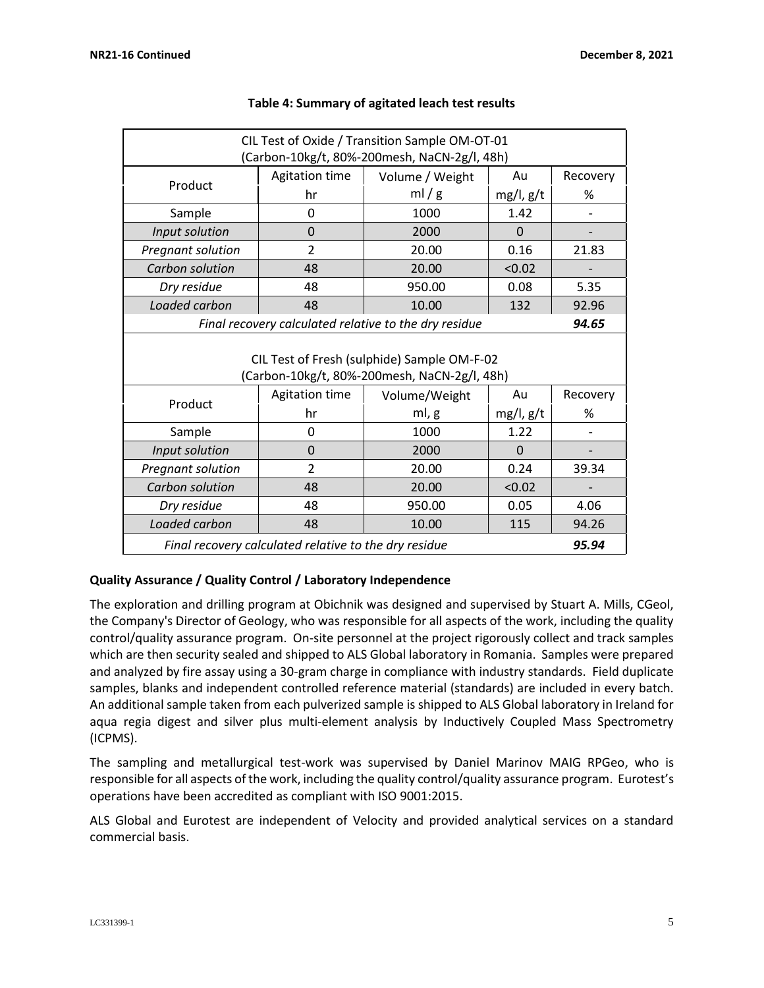| CIL Test of Oxide / Transition Sample OM-OT-01<br>(Carbon-10kg/t, 80%-200mesh, NaCN-2g/l, 48h) |                |                 |                |          |  |  |  |
|------------------------------------------------------------------------------------------------|----------------|-----------------|----------------|----------|--|--|--|
| Product                                                                                        | Agitation time | Volume / Weight | Au             | Recovery |  |  |  |
|                                                                                                | hr             | ml/g            | $mg/l$ , $g/t$ | %        |  |  |  |
| Sample                                                                                         | 0              | 1000            | 1.42           |          |  |  |  |
| Input solution                                                                                 | $\overline{0}$ | 2000            | $\Omega$       |          |  |  |  |
| Pregnant solution                                                                              | $\overline{2}$ | 20.00           | 0.16           | 21.83    |  |  |  |
| Carbon solution                                                                                | 48             | 20.00           | < 0.02         |          |  |  |  |
| Dry residue                                                                                    | 48             | 950.00          | 0.08           | 5.35     |  |  |  |
| Loaded carbon                                                                                  | 48             | 10.00           | 132            | 92.96    |  |  |  |
| Final recovery calculated relative to the dry residue<br>94.65                                 |                |                 |                |          |  |  |  |
| CIL Test of Fresh (sulphide) Sample OM-F-02<br>(Carbon-10kg/t, 80%-200mesh, NaCN-2g/l, 48h)    |                |                 |                |          |  |  |  |
| Product                                                                                        | Agitation time | Volume/Weight   | Au             | Recovery |  |  |  |
|                                                                                                | hr             | ml, g           | $mg/l$ , $g/t$ | %        |  |  |  |
| Sample                                                                                         | 0              | 1000            | 1.22           |          |  |  |  |
| Input solution                                                                                 | $\Omega$       | 2000            | $\Omega$       |          |  |  |  |
| Pregnant solution                                                                              | $\overline{2}$ | 20.00           | 0.24           | 39.34    |  |  |  |
| Carbon solution                                                                                | 48             | 20.00           | < 0.02         |          |  |  |  |
| Dry residue                                                                                    | 48             | 950.00          | 0.05           | 4.06     |  |  |  |
| Loaded carbon                                                                                  | 48             | 10.00           | 115            | 94.26    |  |  |  |
| Final recovery calculated relative to the dry residue                                          |                |                 |                |          |  |  |  |

## **Table 4: Summary of agitated leach test results**

# **Quality Assurance / Quality Control / Laboratory Independence**

The exploration and drilling program at Obichnik was designed and supervised by Stuart A. Mills, CGeol, the Company's Director of Geology, who was responsible for all aspects of the work, including the quality control/quality assurance program. On-site personnel at the project rigorously collect and track samples which are then security sealed and shipped to ALS Global laboratory in Romania. Samples were prepared and analyzed by fire assay using a 30-gram charge in compliance with industry standards. Field duplicate samples, blanks and independent controlled reference material (standards) are included in every batch. An additional sample taken from each pulverized sample is shipped to ALS Global laboratory in Ireland for aqua regia digest and silver plus multi-element analysis by Inductively Coupled Mass Spectrometry (ICPMS).

The sampling and metallurgical test-work was supervised by Daniel Marinov MAIG RPGeo, who is responsible for all aspects of the work, including the quality control/quality assurance program. Eurotest's operations have been accredited as compliant with ISO 9001:2015.

ALS Global and Eurotest are independent of Velocity and provided analytical services on a standard commercial basis.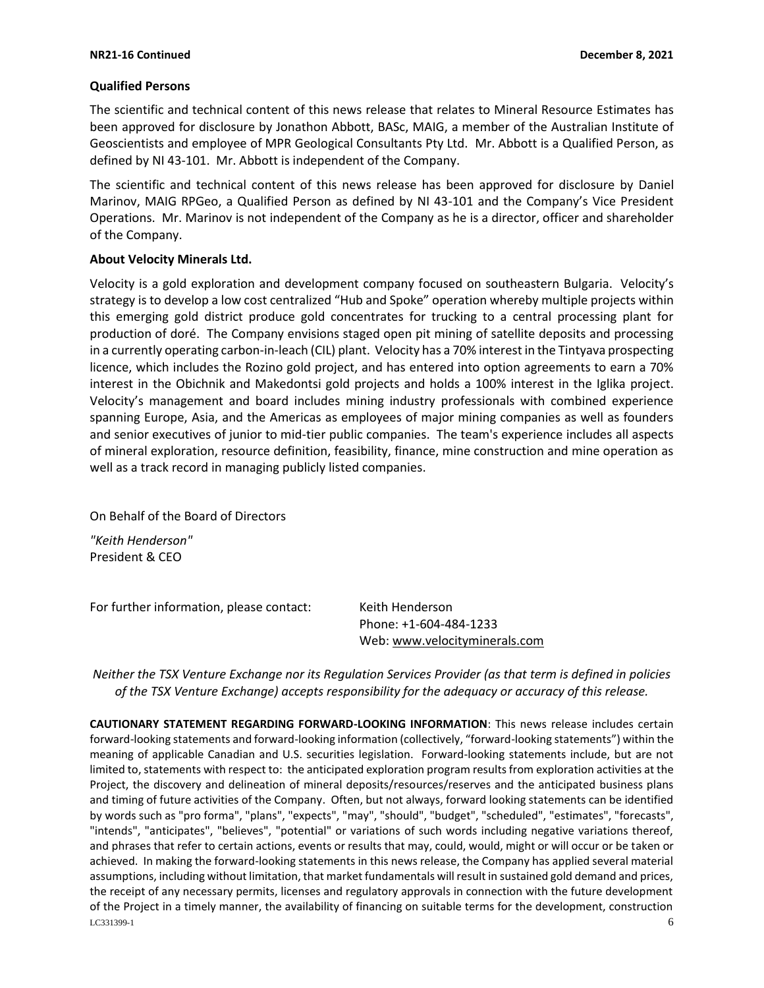#### **Qualified Persons**

The scientific and technical content of this news release that relates to Mineral Resource Estimates has been approved for disclosure by Jonathon Abbott, BASc, MAIG, a member of the Australian Institute of Geoscientists and employee of MPR Geological Consultants Pty Ltd. Mr. Abbott is a Qualified Person, as defined by NI 43-101. Mr. Abbott is independent of the Company.

The scientific and technical content of this news release has been approved for disclosure by Daniel Marinov, MAIG RPGeo, a Qualified Person as defined by NI 43-101 and the Company's Vice President Operations. Mr. Marinov is not independent of the Company as he is a director, officer and shareholder of the Company.

#### **About Velocity Minerals Ltd.**

Velocity is a gold exploration and development company focused on southeastern Bulgaria. Velocity's strategy is to develop a low cost centralized "Hub and Spoke" operation whereby multiple projects within this emerging gold district produce gold concentrates for trucking to a central processing plant for production of doré. The Company envisions staged open pit mining of satellite deposits and processing in a currently operating carbon-in-leach (CIL) plant. Velocity has a 70% interest in the Tintyava prospecting licence, which includes the Rozino gold project, and has entered into option agreements to earn a 70% interest in the Obichnik and Makedontsi gold projects and holds a 100% interest in the Iglika project. Velocity's management and board includes mining industry professionals with combined experience spanning Europe, Asia, and the Americas as employees of major mining companies as well as founders and senior executives of junior to mid-tier public companies. The team's experience includes all aspects of mineral exploration, resource definition, feasibility, finance, mine construction and mine operation as well as a track record in managing publicly listed companies.

On Behalf of the Board of Directors

*"Keith Henderson"* President & CEO

For further information, please contact: Keith Henderson

Phone: +1-604-484-1233 Web[: www.velocityminerals.com](http://www.velocityminerals.com/)

*Neither the TSX Venture Exchange nor its Regulation Services Provider (as that term is defined in policies of the TSX Venture Exchange) accepts responsibility for the adequacy or accuracy of this release.*

 $LC$ 331399-1 6 **CAUTIONARY STATEMENT REGARDING FORWARD-LOOKING INFORMATION**: This news release includes certain forward-looking statements and forward-looking information (collectively, "forward-looking statements") within the meaning of applicable Canadian and U.S. securities legislation. Forward-looking statements include, but are not limited to, statements with respect to: the anticipated exploration program results from exploration activities at the Project, the discovery and delineation of mineral deposits/resources/reserves and the anticipated business plans and timing of future activities of the Company. Often, but not always, forward looking statements can be identified by words such as "pro forma", "plans", "expects", "may", "should", "budget", "scheduled", "estimates", "forecasts", "intends", "anticipates", "believes", "potential" or variations of such words including negative variations thereof, and phrases that refer to certain actions, events or results that may, could, would, might or will occur or be taken or achieved. In making the forward-looking statements in this news release, the Company has applied several material assumptions, including without limitation, that market fundamentals will result in sustained gold demand and prices, the receipt of any necessary permits, licenses and regulatory approvals in connection with the future development of the Project in a timely manner, the availability of financing on suitable terms for the development, construction